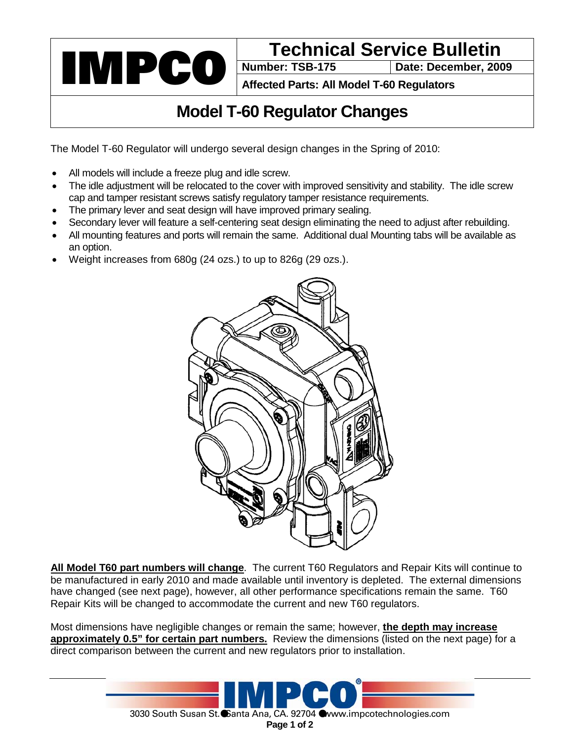

Date: December, 2009

**Affected Parts: All Model T-60 Regulators**

## **Model T-60 Regulator Changes**

The Model T-60 Regulator will undergo several design changes in the Spring of 2010:

- All models will include a freeze plug and idle screw.
- The idle adjustment will be relocated to the cover with improved sensitivity and stability. The idle screw cap and tamper resistant screws satisfy regulatory tamper resistance requirements.
- The primary lever and seat design will have improved primary sealing.
- Secondary lever will feature a self-centering seat design eliminating the need to adjust after rebuilding.
- All mounting features and ports will remain the same. Additional dual Mounting tabs will be available as an option.
- Weight increases from 680g (24 ozs.) to up to 826g (29 ozs.).



**All Model T60 part numbers will change**. The current T60 Regulators and Repair Kits will continue to be manufactured in early 2010 and made available until inventory is depleted. The external dimensions have changed (see next page), however, all other performance specifications remain the same. T60 Repair Kits will be changed to accommodate the current and new T60 regulators.

Most dimensions have negligible changes or remain the same; however, **the depth may increase approximately 0.5" for certain part numbers.** Review the dimensions (listed on the next page) for a direct comparison between the current and new regulators prior to installation.